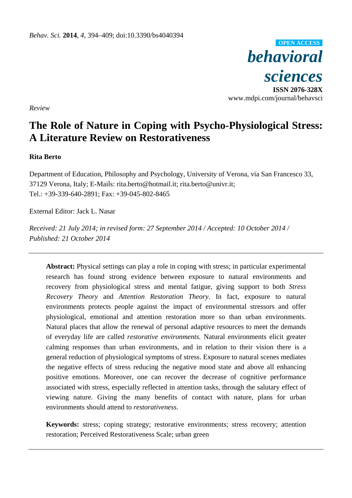

*Review* 

# **The Role of Nature in Coping with Psycho-Physiological Stress: A Literature Review on Restorativeness**

# **Rita Berto**

Department of Education, Philosophy and Psychology, University of Verona, via San Francesco 33, 37129 Verona, Italy; E-Mails: rita.berto@hotmail.it; rita.berto@univr.it; Tel.: +39-339-640-2891; Fax: +39-045-802-8465

External Editor: Jack L. Nasar

*Received: 21 July 2014; in revised form: 27 September 2014 / Accepted: 10 October 2014 / Published: 21 October 2014* 

**Abstract:** Physical settings can play a role in coping with stress; in particular experimental research has found strong evidence between exposure to natural environments and recovery from physiological stress and mental fatigue, giving support to both *Stress Recovery Theory* and *Attention Restoration Theory*. In fact, exposure to natural environments protects people against the impact of environmental stressors and offer physiological, emotional and attention restoration more so than urban environments. Natural places that allow the renewal of personal adaptive resources to meet the demands of everyday life are called *restorative environments.* Natural environments elicit greater calming responses than urban environments, and in relation to their vision there is a general reduction of physiological symptoms of stress. Exposure to natural scenes mediates the negative effects of stress reducing the negative mood state and above all enhancing positive emotions. Moreover, one can recover the decrease of cognitive performance associated with stress, especially reflected in attention tasks, through the salutary effect of viewing nature. Giving the many benefits of contact with nature, plans for urban environments should attend to *restorativeness*.

**Keywords:** stress; coping strategy; restorative environments; stress recovery; attention restoration; Perceived Restorativeness Scale; urban green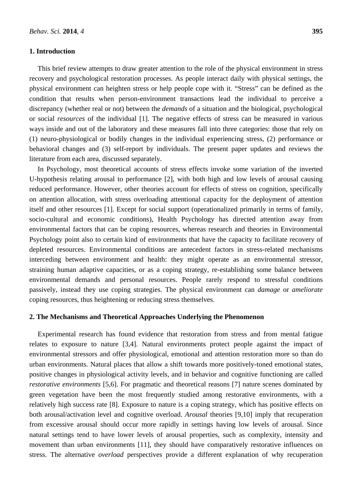## **1. Introduction**

This brief review attempts to draw greater attention to the role of the physical environment in stress recovery and psychological restoration processes. As people interact daily with physical settings, the physical environment can heighten stress or help people cope with it. "Stress" can be defined as the condition that results when person-environment transactions lead the individual to perceive a discrepancy (whether real or not) between the *demands* of a situation and the biological, psychological or social *resources* of the individual [1]. The negative effects of stress can be measured in various ways inside and out of the laboratory and these measures fall into three categories: those that rely on (1) neuro-physiological or bodily changes in the individual experiencing stress, (2) performance or behavioral changes and (3) self-report by individuals. The present paper updates and reviews the literature from each area, discussed separately.

In Psychology, most theoretical accounts of stress effects invoke some variation of the inverted U-hypothesis relating arousal to performance [2], with both high and low levels of arousal causing reduced performance. However, other theories account for effects of stress on cognition, specifically on attention allocation, with stress overloading attentional capacity for the deployment of attention itself and other resources [1]. Except for social support (operationalized primarily in terms of family, socio-cultural and economic conditions), Health Psychology has directed attention away from environmental factors that can be coping resources, whereas research and theories in Environmental Psychology point also to certain kind of environments that have the capacity to facilitate recovery of depleted resources. Environmental conditions are antecedent factors in stress-related mechanisms interceding between environment and health: they might operate as an environmental stressor, straining human adaptive capacities, or as a coping strategy, re-establishing some balance between environmental demands and personal resources. People rarely respond to stressful conditions passively, instead they use coping strategies. The physical environment can *damage* or *ameliorate* coping resources, thus heightening or reducing stress themselves.

#### **2. The Mechanisms and Theoretical Approaches Underlying the Phenomenon**

Experimental research has found evidence that restoration from stress and from mental fatigue relates to exposure to nature [3,4]. Natural environments protect people against the impact of environmental stressors and offer physiological, emotional and attention restoration more so than do urban environments. Natural places that allow a shift towards more positively-toned emotional states, positive changes in physiological activity levels, and in behavior and cognitive functioning are called *restorative environments* [5,6]. For pragmatic and theoretical reasons [7] nature scenes dominated by green vegetation have been the most frequently studied among restorative environments, with a relatively high success rate [8]. Exposure to nature is a coping strategy, which has positive effects on both arousal/activation level and cognitive overload. *Arousal* theories [9,10] imply that recuperation from excessive arousal should occur more rapidly in settings having low levels of arousal. Since natural settings tend to have lower levels of arousal properties, such as complexity, intensity and movement than urban environments [11], they should have comparatively restorative influences on stress. The alternative *overload* perspectives provide a different explanation of why recuperation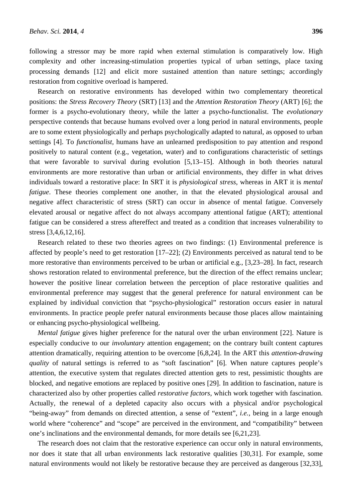following a stressor may be more rapid when external stimulation is comparatively low. High complexity and other increasing-stimulation properties typical of urban settings, place taxing processing demands [12] and elicit more sustained attention than nature settings; accordingly restoration from cognitive overload is hampered.

Research on restorative environments has developed within two complementary theoretical positions: the *Stress Recovery Theory* (SRT) [13] and the *Attention Restoration Theory* (ART) [6]; the former is a psycho-evolutionary theory, while the latter a psycho-functionalist. The *evolutionary*  perspective contends that because humans evolved over a long period in natural environments, people are to some extent physiologically and perhaps psychologically adapted to natural, as opposed to urban settings [4]. To *functionalist,* humans have an unlearned predisposition to pay attention and respond positively to natural content (e.g., vegetation, water) and to configurations characteristic of settings that were favorable to survival during evolution [5,13–15]. Although in both theories natural environments are more restorative than urban or artificial environments, they differ in what drives individuals toward a restorative place: In SRT it is *physiological stress*, whereas in ART it is *mental fatigue*. These theories complement one another, in that the elevated physiological arousal and negative affect characteristic of stress (SRT) can occur in absence of mental fatigue. Conversely elevated arousal or negative affect do not always accompany attentional fatigue (ART); attentional fatigue can be considered a stress aftereffect and treated as a condition that increases vulnerability to stress [3,4,6,12,16].

Research related to these two theories agrees on two findings: (1) Environmental preference is affected by people's need to get restoration [17–22]; (2) Environments perceived as natural tend to be more restorative than environments perceived to be urban or artificial e.g., [3,23–28]. In fact, research shows restoration related to environmental preference, but the direction of the effect remains unclear; however the positive linear correlation between the perception of place restorative qualities and environmental preference may suggest that the general preference for natural environment can be explained by individual conviction that "psycho-physiological" restoration occurs easier in natural environments. In practice people prefer natural environments because those places allow maintaining or enhancing psycho-physiological wellbeing.

*Mental fatigue* gives higher preference for the natural over the urban environment [22]. Nature is especially conducive to our *involuntary* attention engagement; on the contrary built content captures attention dramatically, requiring attention to be overcome [6,8,24]. In the ART this *attention-drawing quality* of natural settings is referred to as "soft fascination" [6]. When nature captures people's attention, the executive system that regulates directed attention gets to rest, pessimistic thoughts are blocked, and negative emotions are replaced by positive ones [29]. In addition to fascination, nature is characterized also by other properties called *restorative factors*, which work together with fascination. Actually, the renewal of a depleted capacity also occurs with a physical and/or psychological "being-away" from demands on directed attention, a sense of "extent", *i.e.*, being in a large enough world where "coherence" and "scope" are perceived in the environment, and "compatibility" between one's inclinations and the environmental demands, for more details see [6,21,23].

The research does not claim that the restorative experience can occur only in natural environments, nor does it state that all urban environments lack restorative qualities [30,31]. For example, some natural environments would not likely be restorative because they are perceived as dangerous [32,33],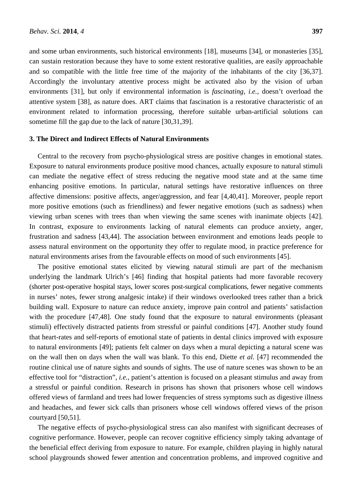and some urban environments, such historical environments [18], museums [34], or monasteries [35], can sustain restoration because they have to some extent restorative qualities, are easily approachable and so compatible with the little free time of the majority of the inhabitants of the city [36,37]. Accordingly the involuntary attentive process might be activated also by the vision of urban environments [31], but only if environmental information is *fascinating*, *i.e.*, doesn't overload the attentive system [38], as nature does. ART claims that fascination is a restorative characteristic of an environment related to information processing, therefore suitable urban-artificial solutions can sometime fill the gap due to the lack of nature [30,31,39].

## **3. The Direct and Indirect Effects of Natural Environments**

Central to the recovery from psycho-physiological stress are positive changes in emotional states. Exposure to natural environments produce positive mood chances, actually exposure to natural stimuli can mediate the negative effect of stress reducing the negative mood state and at the same time enhancing positive emotions. In particular, natural settings have restorative influences on three affective dimensions: positive affects, anger/aggression, and fear [4,40,41]. Moreover, people report more positive emotions (such as friendliness) and fewer negative emotions (such as sadness) when viewing urban scenes with trees than when viewing the same scenes with inanimate objects [42]. In contrast, exposure to environments lacking of natural elements can produce anxiety, anger, frustration and sadness [43,44]. The association between environment and emotions leads people to assess natural environment on the opportunity they offer to regulate mood, in practice preference for natural environments arises from the favourable effects on mood of such environments [45].

The positive emotional states elicited by viewing natural stimuli are part of the mechanism underlying the landmark Ulrich's [46] finding that hospital patients had more favorable recovery (shorter post-operative hospital stays, lower scores post-surgical complications, fewer negative comments in nurses' notes, fewer strong analgesic intake) if their windows overlooked trees rather than a brick building wall. Exposure to nature can reduce anxiety, improve pain control and patients' satisfaction with the procedure [47,48]. One study found that the exposure to natural environments (pleasant stimuli) effectively distracted patients from stressful or painful conditions [47]. Another study found that heart-rates and self-reports of emotional state of patients in dental clinics improved with exposure to natural environments [49]; patients felt calmer on days when a mural depicting a natural scene was on the wall then on days when the wall was blank. To this end, Diette *et al.* [47] recommended the routine clinical use of nature sights and sounds of sights. The use of nature scenes was shown to be an effective tool for "distraction", *i.e.*, patient's attention is focused on a pleasant stimulus and away from a stressful or painful condition. Research in prisons has shown that prisoners whose cell windows offered views of farmland and trees had lower frequencies of stress symptoms such as digestive illness and headaches, and fewer sick calls than prisoners whose cell windows offered views of the prison courtyard [50,51].

The negative effects of psycho-physiological stress can also manifest with significant decreases of cognitive performance. However, people can recover cognitive efficiency simply taking advantage of the beneficial effect deriving from exposure to nature. For example, children playing in highly natural school playgrounds showed fewer attention and concentration problems, and improved cognitive and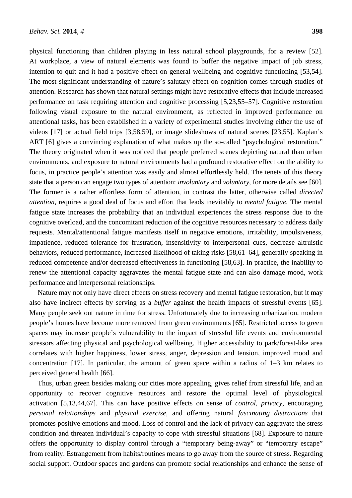physical functioning than children playing in less natural school playgrounds, for a review [52]. At workplace, a view of natural elements was found to buffer the negative impact of job stress, intention to quit and it had a positive effect on general wellbeing and cognitive functioning [53,54]. The most significant understanding of nature's salutary effect on cognition comes through studies of attention. Research has shown that natural settings might have restorative effects that include increased performance on task requiring attention and cognitive processing [5,23,55–57]. Cognitive restoration following visual exposure to the natural environment, as reflected in improved performance on attentional tasks, has been established in a variety of experimental studies involving either the use of videos [17] or actual field trips [3,58,59], or image slideshows of natural scenes [23,55]. Kaplan's ART [6] gives a convincing explanation of what makes up the so-called "psychological restoration." The theory originated when it was noticed that people preferred scenes depicting natural than urban environments, and exposure to natural environments had a profound restorative effect on the ability to focus, in practice people's attention was easily and almost effortlessly held. The tenets of this theory state that a person can engage two types of attention: *involuntary* and *voluntary*, for more details see [60]. The former is a rather effortless form of attention, in contrast the latter, otherwise called *directed attention*, requires a good deal of focus and effort that leads inevitably to *mental fatigue.* The mental fatigue state increases the probability that an individual experiences the stress response due to the cognitive overload, and the concomitant reduction of the cognitive resources necessary to address daily requests. Mental/attentional fatigue manifests itself in negative emotions, irritability, impulsiveness, impatience, reduced tolerance for frustration, insensitivity to interpersonal cues, decrease altruistic behaviors, reduced performance, increased likelihood of taking risks [58,61–64], generally speaking in reduced competence and/or decreased effectiveness in functioning [58,63]. In practice, the inability to renew the attentional capacity aggravates the mental fatigue state and can also damage mood, work performance and interpersonal relationships.

Nature may not only have direct effects on stress recovery and mental fatigue restoration, but it may also have indirect effects by serving as a *buffer* against the health impacts of stressful events [65]. Many people seek out nature in time for stress. Unfortunately due to increasing urbanization, modern people's homes have become more removed from green environments [65]. Restricted access to green spaces may increase people's vulnerability to the impact of stressful life events and environmental stressors affecting physical and psychological wellbeing. Higher accessibility to park/forest-like area correlates with higher happiness, lower stress, anger, depression and tension, improved mood and concentration [17]. In particular, the amount of green space within a radius of 1–3 km relates to perceived general health [66].

Thus, urban green besides making our cities more appealing, gives relief from stressful life, and an opportunity to recover cognitive resources and restore the optimal level of physiological activation [5,13,44,67]. This can have positive effects on sense of *control*, *privacy*, encouraging *personal relationships* and *physical exercise*, and offering natural *fascinating distractions* that promotes positive emotions and mood. Loss of control and the lack of privacy can aggravate the stress condition and threaten individual's capacity to cope with stressful situations [68]. Exposure to nature offers the opportunity to display control through a "temporary being-away" or "temporary escape" from reality. Estrangement from habits/routines means to go away from the source of stress. Regarding social support. Outdoor spaces and gardens can promote social relationships and enhance the sense of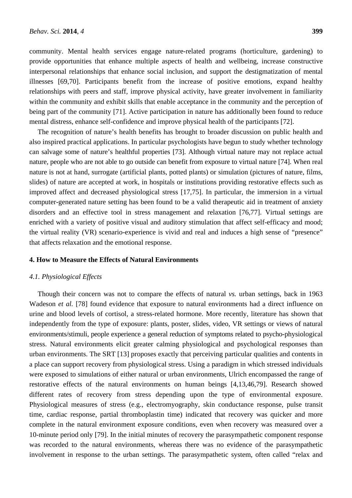community. Mental health services engage nature-related programs (horticulture, gardening) to provide opportunities that enhance multiple aspects of health and wellbeing, increase constructive interpersonal relationships that enhance social inclusion, and support the destigmatization of mental illnesses [69,70]. Participants benefit from the increase of positive emotions, expand healthy relationships with peers and staff, improve physical activity, have greater involvement in familiarity within the community and exhibit skills that enable acceptance in the community and the perception of being part of the community [71]. Active participation in nature has additionally been found to reduce mental distress, enhance self-confidence and improve physical health of the participants [72].

The recognition of nature's health benefits has brought to broader discussion on public health and also inspired practical applications. In particular psychologists have begun to study whether technology can salvage some of nature's healthful properties [73]. Although virtual nature may not replace actual nature, people who are not able to go outside can benefit from exposure to virtual nature [74]. When real nature is not at hand, surrogate (artificial plants, potted plants) or simulation (pictures of nature, films, slides) of nature are accepted at work, in hospitals or institutions providing restorative effects such as improved affect and decreased physiological stress [17,75]. In particular, the immersion in a virtual computer-generated nature setting has been found to be a valid therapeutic aid in treatment of anxiety disorders and an effective tool in stress management and relaxation [76,77]. Virtual settings are enriched with a variety of positive visual and auditory stimulation that affect self-efficacy and mood; the virtual reality (VR) scenario-experience is vivid and real and induces a high sense of "presence" that affects relaxation and the emotional response.

#### **4. How to Measure the Effects of Natural Environments**

#### *4.1. Physiological Effects*

Though their concern was not to compare the effects of natural *vs.* urban settings, back in 1963 Wadeson *et al.* [78] found evidence that exposure to natural environments had a direct influence on urine and blood levels of cortisol, a stress-related hormone. More recently, literature has shown that independently from the type of exposure: plants, poster, slides, video, VR settings or views of natural environments/stimuli, people experience a general reduction of symptoms related to psycho-physiological stress. Natural environments elicit greater calming physiological and psychological responses than urban environments. The SRT [13] proposes exactly that perceiving particular qualities and contents in a place can support recovery from physiological stress. Using a paradigm in which stressed individuals were exposed to simulations of either natural or urban environments, Ulrich encompassed the range of restorative effects of the natural environments on human beings [4,13,46,79]. Research showed different rates of recovery from stress depending upon the type of environmental exposure. Physiological measures of stress (e.g., electromyography, skin conductance response, pulse transit time, cardiac response, partial thromboplastin time) indicated that recovery was quicker and more complete in the natural environment exposure conditions, even when recovery was measured over a 10-minute period only [79]. In the initial minutes of recovery the parasympathetic component response was recorded to the natural environments, whereas there was no evidence of the parasympathetic involvement in response to the urban settings. The parasympathetic system, often called "relax and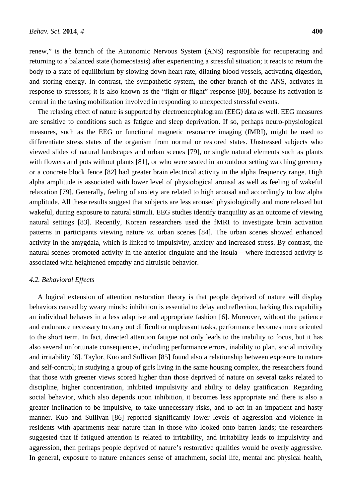renew," is the branch of the Autonomic Nervous System (ANS) responsible for recuperating and returning to a balanced state (homeostasis) after experiencing a stressful situation; it reacts to return the body to a state of equilibrium by slowing down heart rate, dilating blood vessels, activating digestion, and storing energy. In contrast, the sympathetic system, the other branch of the ANS, activates in response to stressors; it is also known as the "fight or flight" response [80], because its activation is central in the taxing mobilization involved in responding to unexpected stressful events.

The relaxing effect of nature is supported by electroencephalogram (EEG) data as well. EEG measures are sensitive to conditions such as fatigue and sleep deprivation. If so, perhaps neuro-physiological measures, such as the EEG or functional magnetic resonance imaging (fMRI), might be used to differentiate stress states of the organism from normal or restored states. Unstressed subjects who viewed slides of natural landscapes and urban scenes [79], or single natural elements such as plants with flowers and pots without plants [81], or who were seated in an outdoor setting watching greenery or a concrete block fence [82] had greater brain electrical activity in the alpha frequency range. High alpha amplitude is associated with lower level of physiological arousal as well as feeling of wakeful relaxation [79]. Generally, feeling of anxiety are related to high arousal and accordingly to low alpha amplitude. All these results suggest that subjects are less aroused physiologically and more relaxed but wakeful, during exposure to natural stimuli. EEG studies identify tranquility as an outcome of viewing natural settings [83]. Recently, Korean researchers used the fMRI to investigate brain activation patterns in participants viewing nature *vs.* urban scenes [84]. The urban scenes showed enhanced activity in the amygdala, which is linked to impulsivity, anxiety and increased stress. By contrast, the natural scenes promoted activity in the anterior cingulate and the insula – where increased activity is associated with heightened empathy and altruistic behavior.

#### *4.2. Behavioral Effects*

A logical extension of attention restoration theory is that people deprived of nature will display behaviors caused by weary minds: inhibition is essential to delay and reflection, lacking this capability an individual behaves in a less adaptive and appropriate fashion [6]. Moreover, without the patience and endurance necessary to carry out difficult or unpleasant tasks, performance becomes more oriented to the short term. In fact, directed attention fatigue not only leads to the inability to focus, but it has also several unfortunate consequences, including performance errors, inability to plan, social incivility and irritability [6]. Taylor, Kuo and Sullivan [85] found also a relationship between exposure to nature and self-control; in studying a group of girls living in the same housing complex, the researchers found that those with greener views scored higher than those deprived of nature on several tasks related to discipline, higher concentration, inhibited impulsivity and ability to delay gratification. Regarding social behavior, which also depends upon inhibition, it becomes less appropriate and there is also a greater inclination to be impulsive, to take unnecessary risks, and to act in an impatient and hasty manner. Kuo and Sullivan [86] reported significantly lower levels of aggression and violence in residents with apartments near nature than in those who looked onto barren lands; the researchers suggested that if fatigued attention is related to irritability, and irritability leads to impulsivity and aggression, then perhaps people deprived of nature's restorative qualities would be overly aggressive. In general, exposure to nature enhances sense of attachment, social life, mental and physical health,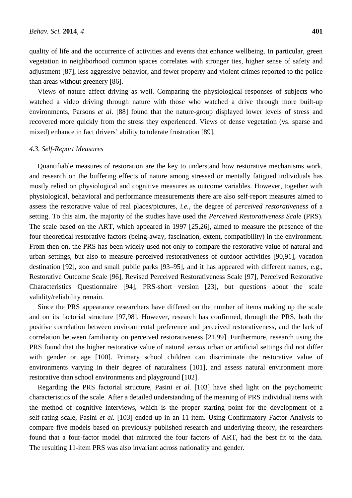quality of life and the occurrence of activities and events that enhance wellbeing. In particular, green vegetation in neighborhood common spaces correlates with stronger ties, higher sense of safety and adjustment [87], less aggressive behavior, and fewer property and violent crimes reported to the police than areas without greenery [86].

Views of nature affect driving as well. Comparing the physiological responses of subjects who watched a video driving through nature with those who watched a drive through more built-up environments, Parsons *et al.* [88] found that the nature-group displayed lower levels of stress and recovered more quickly from the stress they experienced. Views of dense vegetation (vs. sparse and mixed) enhance in fact drivers' ability to tolerate frustration [89].

#### *4.3. Self-Report Measures*

Quantifiable measures of restoration are the key to understand how restorative mechanisms work, and research on the buffering effects of nature among stressed or mentally fatigued individuals has mostly relied on physiological and cognitive measures as outcome variables. However, together with physiological, behavioral and performance measurements there are also self-report measures aimed to assess the restorative value of real places/pictures, *i.e.*, the degree of *perceived restorativeness* of a setting. To this aim, the majority of the studies have used the *Perceived Restorativeness Scale* (PRS). The scale based on the ART, which appeared in 1997 [25,26], aimed to measure the presence of the four theoretical restorative factors (being-away, fascination, extent, compatibility) in the environment. From then on, the PRS has been widely used not only to compare the restorative value of natural and urban settings, but also to measure perceived restorativeness of outdoor activities [90,91], vacation destination [92], zoo and small public parks [93–95], and it has appeared with different names, e.g., Restorative Outcome Scale [96], Revised Perceived Restorativeness Scale [97], Perceived Restorative Characteristics Questionnaire [94], PRS-short version [23], but questions about the scale validity/reliability remain.

Since the PRS appearance researchers have differed on the number of items making up the scale and on its factorial structure [97,98]. However, research has confirmed, through the PRS, both the positive correlation between environmental preference and perceived restorativeness, and the lack of correlation between familiarity on perceived restorativeness [21,99]. Furthermore, research using the PRS found that the higher restorative value of natural *versus* urban or artificial settings did not differ with gender or age [100]. Primary school children can discriminate the restorative value of environments varying in their degree of naturalness [101], and assess natural environment more restorative than school environments and playground [102].

Regarding the PRS factorial structure, Pasini *et al.* [103] have shed light on the psychometric characteristics of the scale. After a detailed understanding of the meaning of PRS individual items with the method of cognitive interviews, which is the proper starting point for the development of a self-rating scale, Pasini *et al.* [103] ended up in an 11-item. Using Confirmatory Factor Analysis to compare five models based on previously published research and underlying theory, the researchers found that a four-factor model that mirrored the four factors of ART, had the best fit to the data. The resulting 11-item PRS was also invariant across nationality and gender.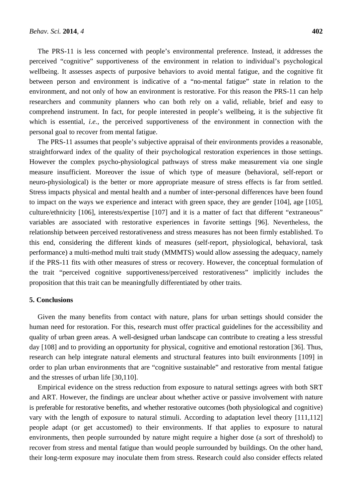The PRS-11 is less concerned with people's environmental preference. Instead, it addresses the perceived "cognitive" supportiveness of the environment in relation to individual's psychological wellbeing. It assesses aspects of purposive behaviors to avoid mental fatigue, and the cognitive fit between person and environment is indicative of a "no-mental fatigue" state in relation to the environment, and not only of how an environment is restorative. For this reason the PRS-11 can help researchers and community planners who can both rely on a valid, reliable, brief and easy to comprehend instrument. In fact, for people interested in people's wellbeing, it is the subjective fit which is essential, *i.e.*, the perceived supportiveness of the environment in connection with the personal goal to recover from mental fatigue.

The PRS-11 assumes that people's subjective appraisal of their environments provides a reasonable, straightforward index of the quality of their psychological restoration experiences in those settings. However the complex psycho-physiological pathways of stress make measurement via one single measure insufficient. Moreover the issue of which type of measure (behavioral, self-report or neuro-physiological) is the better or more appropriate measure of stress effects is far from settled. Stress impacts physical and mental health and a number of inter-personal differences have been found to impact on the ways we experience and interact with green space, they are gender [104], age [105], culture/ethnicity [106], interests/expertise [107] and it is a matter of fact that different "extraneous" variables are associated with restorative experiences in favorite settings [96]. Nevertheless, the relationship between perceived restorativeness and stress measures has not been firmly established. To this end, considering the different kinds of measures (self-report, physiological, behavioral, task performance) a multi-method multi trait study (MMMTS) would allow assessing the adequacy, namely if the PRS-11 fits with other measures of stress or recovery. However, the conceptual formulation of the trait "perceived cognitive supportiveness/perceived restorativeness" implicitly includes the proposition that this trait can be meaningfully differentiated by other traits.

#### **5. Conclusions**

Given the many benefits from contact with nature, plans for urban settings should consider the human need for restoration. For this, research must offer practical guidelines for the accessibility and quality of urban green areas. A well-designed urban landscape can contribute to creating a less stressful day [108] and to providing an opportunity for physical, cognitive and emotional restoration [36]. Thus, research can help integrate natural elements and structural features into built environments [109] in order to plan urban environments that are "cognitive sustainable" and restorative from mental fatigue and the stresses of urban life [30,110].

Empirical evidence on the stress reduction from exposure to natural settings agrees with both SRT and ART. However, the findings are unclear about whether active or passive involvement with nature is preferable for restorative benefits, and whether restorative outcomes (both physiological and cognitive) vary with the length of exposure to natural stimuli. According to adaptation level theory [111,112] people adapt (or get accustomed) to their environments. If that applies to exposure to natural environments, then people surrounded by nature might require a higher dose (a sort of threshold) to recover from stress and mental fatigue than would people surrounded by buildings. On the other hand, their long-term exposure may inoculate them from stress. Research could also consider effects related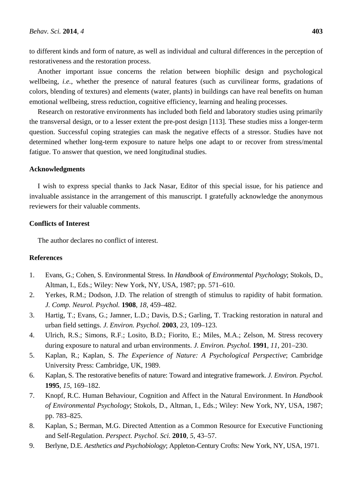to different kinds and form of nature, as well as individual and cultural differences in the perception of restorativeness and the restoration process.

Another important issue concerns the relation between biophilic design and psychological wellbeing, *i.e.*, whether the presence of natural features (such as curvilinear forms, gradations of colors, blending of textures) and elements (water, plants) in buildings can have real benefits on human emotional wellbeing, stress reduction, cognitive efficiency, learning and healing processes.

Research on restorative environments has included both field and laboratory studies using primarily the transversal design, or to a lesser extent the pre-post design [113]. These studies miss a longer-term question. Successful coping strategies can mask the negative effects of a stressor. Studies have not determined whether long-term exposure to nature helps one adapt to or recover from stress/mental fatigue. To answer that question, we need longitudinal studies.

## **Acknowledgments**

I wish to express special thanks to Jack Nasar, Editor of this special issue, for his patience and invaluable assistance in the arrangement of this manuscript. I gratefully acknowledge the anonymous reviewers for their valuable comments.

## **Conflicts of Interest**

The author declares no conflict of interest.

## **References**

- 1. Evans, G.; Cohen, S. Environmental Stress. In *Handbook of Environmental Psychology*; Stokols, D., Altman, I., Eds.; Wiley: New York, NY, USA, 1987; pp. 571–610.
- 2. Yerkes, R.M.; Dodson, J.D. The relation of strength of stimulus to rapidity of habit formation. *J. Comp. Neurol. Psychol.* **1908**, *18*, 459–482.
- 3. Hartig, T.; Evans, G.; Jamner, L.D.; Davis, D.S.; Garling, T. Tracking restoration in natural and urban field settings. *J. Environ. Psychol.* **2003**, *23*, 109–123.
- 4. Ulrich, R.S.; Simons, R.F.; Losito, B.D.; Fiorito, E.; Miles, M.A.; Zelson, M. Stress recovery during exposure to natural and urban environments. *J. Environ. Psychol.* **1991**, *11*, 201–230.
- 5. Kaplan, R.; Kaplan, S. *The Experience of Nature: A Psychological Perspective*; Cambridge University Press: Cambridge, UK, 1989.
- 6. Kaplan, S. The restorative benefits of nature: Toward and integrative framework. *J. Environ. Psychol.* **1995**, *15*, 169–182.
- 7. Knopf, R.C. Human Behaviour, Cognition and Affect in the Natural Environment. In *Handbook of Environmental Psychology*; Stokols, D., Altman, I., Eds.; Wiley: New York, NY, USA, 1987; pp. 783–825.
- 8. Kaplan, S.; Berman, M.G. Directed Attention as a Common Resource for Executive Functioning and Self-Regulation. *Perspect. Psychol. Sci.* **2010**, *5*, 43–57.
- 9. Berlyne, D.E. *Aesthetics and Psychobiology*; Appleton-Century Crofts: New York, NY, USA, 1971.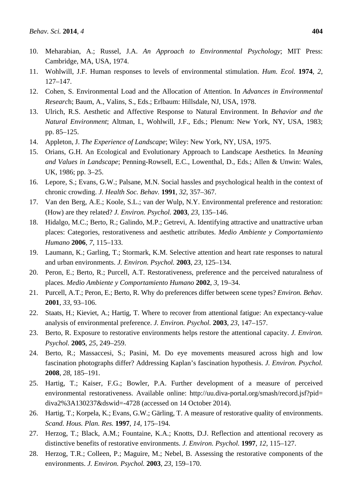- 10. Meharabian, A.; Russel, J.A. *An Approach to Environmental Psychology*; MIT Press: Cambridge, MA, USA, 1974.
- 11. Wohlwill, J.F. Human responses to levels of environmental stimulation. *Hum. Ecol.* **1974**, *2*, 127–147.
- 12. Cohen, S. Environmental Load and the Allocation of Attention. In *Advances in Environmental Researc*h; Baum, A., Valins, S., Eds.; Erlbaum: Hillsdale, NJ, USA, 1978.
- 13. Ulrich, R.S. Aesthetic and Affective Response to Natural Environment. In *Behavior and the Natural Environment*; Altman, I., Wohlwill, J.F., Eds.; Plenum: New York, NY, USA, 1983; pp. 85–125.
- 14. Appleton, J. *The Experience of Landscape*; Wiley: New York, NY, USA, 1975.
- 15. Orians, G.H. An Ecological and Evolutionary Approach to Landscape Aesthetics*.* In *Meaning and Values in Landscape*; Penning-Rowsell, E.C., Lowenthal, D., Eds.; Allen & Unwin: Wales, UK, 1986; pp. 3–25.
- 16. Lepore, S.; Evans, G.W.; Palsane, M.N. Social hassles and psychological health in the context of chronic crowding. *J. Health Soc. Behav.* **1991**, *32*, 357–367.
- 17. Van den Berg, A.E.; Koole, S.L.; van der Wulp, N.Y. Environmental preference and restoration: (How) are they related? *J. Environ. Psychol.* **2003**, *23*, 135–146.
- 18. Hidalgo, M.C.; Berto, R.; Galindo, M.P.; Getrevi, A. Identifying attractive and unattractive urban places: Categories, restorativeness and aesthetic attributes. *Medio Ambiente y Comportamiento Humano* **2006**, *7*, 115–133.
- 19. Laumann, K.; Garling, T.; Stormark, K.M. Selective attention and heart rate responses to natural and urban environments. *J. Environ. Psychol.* **2003**, *23*, 125–134.
- 20. Peron, E.; Berto, R.; Purcell, A.T. Restorativeness, preference and the perceived naturalness of places. *Medio Ambiente y Comportamiento Humano* **2002**, *3*, 19–34.
- 21. Purcell, A.T.; Peron, E.; Berto, R. Why do preferences differ between scene types? *Environ. Behav.*  **2001**, *33*, 93–106.
- 22. Staats, H.; Kieviet, A.; Hartig, T. Where to recover from attentional fatigue: An expectancy-value analysis of environmental preference. *J. Environ. Psychol.* **2003**, *23*, 147–157.
- 23. Berto, R. Exposure to restorative environments helps restore the attentional capacity. *J. Environ. Psychol.* **2005**, *25*, 249–259.
- 24. Berto, R.; Massaccesi, S.; Pasini, M. Do eye movements measured across high and low fascination photographs differ? Addressing Kaplan's fascination hypothesis. *J. Environ. Psychol.* **2008**, *28*, 185–191.
- 25. Hartig, T.; Kaiser, F.G.; Bowler, P.A. Further development of a measure of perceived environmental restorativeness. Available online: http://uu.diva-portal.org/smash/record.jsf?pid= diva2%3A130237&dswid=-4728 (accessed on 14 October 2014).
- 26. Hartig, T.; Korpela, K.; Evans, G.W.; Gärling, T. A measure of restorative quality of environments. *Scand. Hous. Plan. Res.* **1997**, *14*, 175–194.
- 27. Herzog, T.; Black, A.M.; Fountaine, K.A.; Knotts, D.J. Reflection and attentional recovery as distinctive benefits of restorative environments. *J. Environ. Psychol.* **1997**, *12*, 115–127.
- 28. Herzog, T.R.; Colleen, P.; Maguire, M.; Nebel, B. Assessing the restorative components of the environments. *J. Environ. Psychol.* **2003**, *23*, 159–170.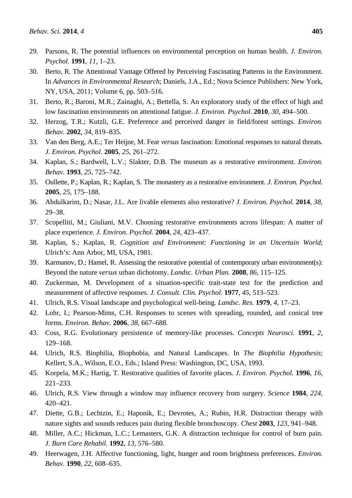- 29. Parsons, R. The potential influences on environmental perception on human health. *J. Environ. Psychol.* **1991**, *11*, 1–23.
- 30. Berto, R. The Attentional Vantage Offered by Perceiving Fascinating Patterns in the Environment. In *Advances in Environmental Research*; Daniels, J.A., Ed.; Nova Science Publishers: New York, NY, USA, 2011; Volume 6, pp. 503–516.
- 31. Berto, R.; Baroni, M.R.; Zainaghi, A.; Bettella, S. An exploratory study of the effect of high and low fascination environments on attentional fatigue. *J. Environ. Psychol.* **2010**, *30*, 494–500.
- 32. Herzog, T.R.; Kutzli, G.E. Preference and perceived danger in field/forest settings. *Environ. Behav.* **2002**, *34*, 819–835.
- 33. Van den Berg, A.E.; Ter Heijne, M. Fear *versus* fascination: Emotional responses to natural threats*. J. Environ. Psychol.* **2005**, *25*, 261–272.
- 34. Kaplan, S.; Bardwell, L.V.; Slakter, D.B. The museum as a restorative environment. *Environ. Behav.* **1993**, *25*, 725–742.
- 35. Oullette, P.; Kaplan, R.; Kaplan, S. The monastery as a restorative environment. *J. Environ. Psychol.* **2005**, *25*, 175–188.
- 36. Abdulkarim, D.; Nasar, J.L. Are livable elements also restorative? *J. Environ. Psychol.* **2014**, *38*, 29–38.
- 37. Scopelliti, M.; Giuliani, M.V. Choosing restorative environments across lifespan: A matter of place experience. *J. Environ. Psychol.* **2004**, *24*, 423–437.
- 38. Kaplan, S.; Kaplan, R. *Cognition and Environment: Functioning in an Uncertain World*; Ulrich's: Ann Arbor, MI, USA, 1981.
- 39. Karmanov, D.; Hamel, R. Assessing the restorative potential of contemporary urban environment(s): Beyond the nature *versus* urban dichotomy. *Landsc. Urban Plan.* **2008**, *86*, 115–125.
- 40. Zuckerman, M. Development of a situation-specific trait-state test for the prediction and measurement of affective responses. *J. Consult. Clin. Psychol.* **1977**, *45*, 513–523.
- 41. Ulrich, R.S. Visual landscape and psychological well-being. *Landsc. Res.* **1979**, *4*, 17–23.
- 42. Lohr, I.; Pearson-Mims, C.H. Responses to scenes with spreading, rounded, and conical tree forms. *Environ. Behav.* **2006**, *38*, 667–688.
- 43. Coss, R.G. Evolutionary persistence of memory-like processes. *Concepts Neurosci.* **1991**, *2*, 129–168.
- 44. Ulrich, R.S. Biophilia, Biophobia, and Natural Landscapes. In *The Biophilia Hypothesis*; Kellert, S.A., Wilson, E.O., Eds.; Island Press: Washington, DC, USA, 1993.
- 45. Korpela, M.K.; Hartig, T. Restorative qualities of favorite places. *J. Environ. Psychol.* **1996**, *16*, 221–233.
- 46. Ulrich, R.S. View through a window may influence recovery from surgery. *Science* **1984**, *224*, 420–421.
- 47. Diette, G.B.; Lechtzin, E.; Haponik, E.; Devrotes, A.; Rubin, H.R. Distraction therapy with nature sights and sounds reduces pain during flexible bronchoscopy. *Chest* **2003**, *123*, 941–948.
- 48. Miller, A.C.; Hickman, L.C.; Lemasters, G.K. A distraction technique for control of burn pain. *J. Burn Care Rehabil.* **1992**, *13*, 576–580.
- 49. Heerwagen, J.H. Affective functioning, light, hunger and room brightness preferences. *Environ. Behav.* **1990**, *22*, 608–635.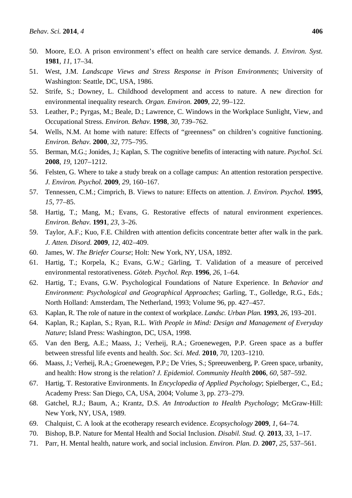- 50. Moore, E.O. A prison environment's effect on health care service demands. *J. Environ. Syst.* **1981**, *11*, 17–34.
- 51. West, J.M. *Landscape Views and Stress Response in Prison Environments*; University of Washington: Seattle, DC, USA, 1986.
- 52. Strife, S.; Downey, L. Childhood development and access to nature. A new direction for environmental inequality research*. Organ. Environ.* **2009**, *22*, 99–122.
- 53. Leather, P.; Pyrgas, M.; Beale, D.; Lawrence, C. Windows in the Workplace Sunlight, View, and Occupational Stress. *Environ. Behav.* **1998**, *30*, 739–762.
- 54. Wells, N.M. At home with nature: Effects of "greenness" on children's cognitive functioning. *Environ. Behav.* **2000**, *32*, 775–795.
- 55. Berman, M.G.; Jonides, J.; Kaplan, S. The cognitive benefits of interacting with nature. *Psychol. Sci.* **2008**, *19*, 1207–1212.
- 56. Felsten, G. Where to take a study break on a collage campus: An attention restoration perspective. *J. Environ. Psychol.* **2009**, *29*, 160–167.
- 57. Tennessen, C.M.; Cimprich, B. Views to nature: Effects on attention. *J. Environ. Psychol.* **1995**, *15*, 77–85.
- 58. Hartig, T.; Mang, M.; Evans, G. Restorative effects of natural environment experiences. *Environ. Behav.* **1991**, *23*, 3–26.
- 59. Taylor, A.F.; Kuo, F.E. Children with attention deficits concentrate better after walk in the park. *J. Atten. Disord.* **2009**, *12*, 402–409.
- 60. James, W. *The Briefer Course*; Holt: New York, NY, USA, 1892.
- 61. Hartig, T.; Korpela, K.; Evans, G.W.; Gärling, T. Validation of a measure of perceived environmental restorativeness. *Göteb. Psychol. Rep.* **1996**, *26*, 1–64.
- 62. Hartig, T.; Evans, G.W. Psychological Foundations of Nature Experience. In *Behavior and Environment*: *Psychological and Geographical Approaches*; Garling, T., Golledge, R.G., Eds.; North Holland: Amsterdam, The Netherland, 1993; Volume 96, pp. 427–457.
- 63. Kaplan, R. The role of nature in the context of workplace. *Landsc. Urban Plan.* **1993**, *26*, 193–201.
- 64. Kaplan, R.; Kaplan, S.; Ryan, R.L. *With People in Mind: Design and Management of Everyday Nature*; Island Press: Washington, DC, USA, 1998.
- 65. Van den Berg, A.E.; Maass, J.; Verheij, R.A.; Groenewegen, P.P. Green space as a buffer between stressful life events and health. *Soc. Sci. Med.* **2010**, *70*, 1203–1210.
- 66. Maass, J.; Verheij, R.A.; Groenewegen, P.P.; De Vries, S.; Spreeuwenberg, P. Green space, urbanity, and health: How strong is the relation? *J. Epidemiol. Community Health* **2006**, *60*, 587–592.
- 67. Hartig, T. Restorative Environments. In *Encyclopedia of Applied Psychology*; Spielberger, C., Ed.; Academy Press: San Diego, CA, USA, 2004; Volume 3, pp. 273–279.
- 68. Gatchel, R.J.; Baum, A.; Krantz, D.S. *An Introduction to Health Psychology*; McGraw-Hill: New York, NY, USA, 1989.
- 69. Chalquist, C. A look at the ecotherapy research evidence. *Ecopsychology* **2009**, *1*, 64–74.
- 70. Bishop, B.P. Nature for Mental Health and Social Inclusion. *Disabil. Stud. Q.* **2013**, *33*, 1–17.
- 71. Parr, H. Mental health, nature work, and social inclusion. *Environ. Plan. D.* **2007**, *25*, 537–561.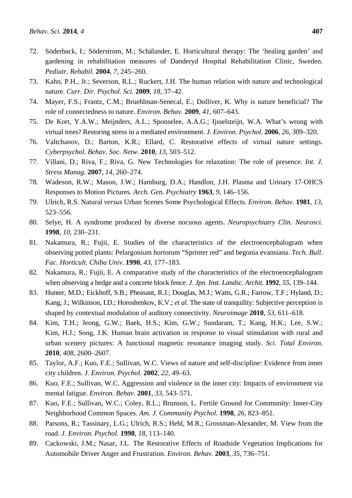- 72. Söderback, I.; Söderstrom, M.; Schälander, E. Horticultural therapy: The 'healing garden' and gardening in rehabilitation measures of Danderyd Hospital Rehabilitation Clinic, Sweden. *Pediatr. Rehabil.* **2004**, *7*, 245–260.
- 73. Kahn, P.H., Jr.; Severson, R.L.; Ruckert, J.H. The human relation with nature and technological nature. *Curr. Dir. Psychol. Sci.* **2009**, *18*, 37–42.
- 74. Mayer, F.S.; Frantz, C.M.; Bruehlman-Senecal, E.; Dolliver, K. Why is nature beneficial? The role of connectedness to nature. *Environ. Behav.* **2009**, *41*, 607–643.
- 75. De Kort, Y.A.W.; Meijnders, A.L.; Sponselee, A.A.G.; Ijsselsteijn, W.A. What's wrong with virtual trees? Restoring stress in a mediated environment. *J. Environ. Psychol.* **2006**, *26*, 309–320.
- 76. Valtchanov, D.; Barton, K.R.; Ellard, C. Restorative effects of virtual nature settings. *Cyberpsychol. Behav. Soc. Netw.* **2010**, *13*, 503–512.
- 77. Villani, D.; Riva, F.; Riva, G. New Technologies for relaxation: The role of presence. *Int. J. Stress Manag.* **2007**, *14*, 260–274.
- 78. Wadeson, R.W.; Mason, J.W.; Hamburg, D.A.; Handlon, J.H. Plasma and Urinary 17-OHCS Responses to Motion Pictures*. Arch. Gen. Psychiatry* **1963**, *9*, 146–156.
- 79. Ulrich, R.S. Natural *versus* Urban Scenes Some Psychological Effects. *Environ. Behav.* **1981**, *13*, 523–556.
- 80. Selye, H. A syndrome produced by diverse nocuous agents. *Neuropsychiatry Clin. Neurosci.*  **1998**, *10*, 230–231.
- 81. Nakamura, R.; Fujii, E. Studies of the characteristics of the electroencephalogram when observing potted plants: Pelargonium hortorum "Sprinter red" and begonia evansiana. *Tech. Bull. Fac. Horticult. Chiba Univ.* **1990**, *43*, 177–183.
- 82. Nakamura, R.; Fujii, E. A comparative study of the characteristics of the electroencephalogram when observing a hedge and a concrete block fence. *J. Jpn. Inst. Landsc. Archit.* **1992**, *55*, 139–144.
- 83. Hunter, M.D.; Eickhoff, S.B.; Pheasant, R.J.; Douglas, M.J.; Watts, G.R.; Farrow, T.F.; Hyland, D.; Kang, J.; Wilkinson, I.D.; Horoshenkov, K.V.; *et al.* The state of tranquility: Subjective perception is shaped by contextual modulation of auditory connectivity. *Neuroimage* **2010**, *53*, 611–618.
- 84. Kim, T.H.; Jeong, G.W.; Baek, H.S.; Kim, G.W.; Sundaram, T.; Kang, H.K.; Lee, S.W.; Kim, H.J.; Song, J.K. Human brain activation in response to visual stimulation with rural and urban scenery pictures: A functional magnetic resonance imaging study. *Sci. Total Environ.* **2010**, *408*, 2600–2607.
- 85. Taylor, A.F.; Kuo, F.E.; Sullivan, W.C. Views of nature and self-discipline: Evidence from inner city children. *J. Environ. Psychol.* **2002**, *22*, 49–63.
- 86. Kuo, F.E.; Sullivan, W.C. Aggression and violence in the inner city: Impacts of environment via mental fatigue. *Environ. Behav.* **2001**, *33*, 543–571.
- 87. Kuo, F.E.; Sullivan, W.C.; Coley, R.L.; Brunson, L. Fertile Ground for Community: Inner-City Neighborhood Common Spaces. *Am. J. Community Psychol.* **1998**, *26*, 823–851.
- 88. Parsons, R.; Tassinary, L.G.; Ulrich, R.S.; Hebl, M.R.; Grossman-Alexander, M. View from the road. *J. Environ. Psychol.* **1998**, *18*, 113–140.
- 89. Cackowski, J.M.; Nasar, J.L. The Restorative Effects of Roadside Vegetation Implications for Automobile Driver Anger and Frustration. *Environ. Behav.* **2003**, *35*, 736–751.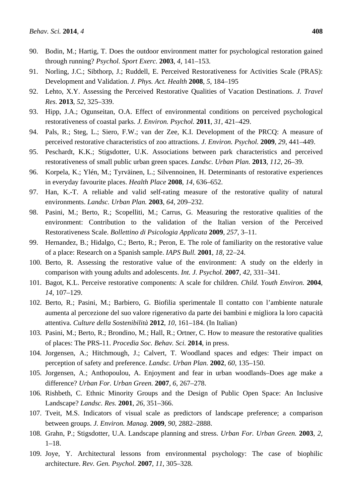- 90. Bodin, M.; Hartig, T. Does the outdoor environment matter for psychological restoration gained through running? *Psychol. Sport Exerc.* **2003**, *4*, 141–153.
- 91. Norling, J.C.; Sibthorp, J.; Ruddell, E. Perceived Restorativeness for Activities Scale (PRAS): Development and Validation. *J. Phys. Act. Health* **2008**, *5*, 184–195
- 92. Lehto, X.Y. Assessing the Perceived Restorative Qualities of Vacation Destinations. *J. Travel Res.* **2013**, *52*, 325–339.
- 93. Hipp, J.A.; Ogunseitan, O.A. Effect of environmental conditions on perceived psychological restorativeness of coastal parks. *J. Environ. Psychol.* **2011**, *31*, 421–429.
- 94. Pals, R.; Steg, L.; Siero, F.W.; van der Zee, K.I. Development of the PRCQ: A measure of perceived restorative characteristics of zoo attractions. *J. Environ. Psychol.* **2009**, *29*, 441–449.
- 95. Peschardt, K.K.; Stigsdotter, U.K. Associations between park characteristics and perceived restorativeness of small public urban green spaces*. Landsc. Urban Plan.* **2013**, *112*, 26–39.
- 96. Korpela, K.; Ylén, M.; Tyrväinen, L.; Silvennoinen, H. Determinants of restorative experiences in everyday favourite places. *Health Place* **2008**, *14*, 636–652.
- 97. Han, K.-T. A reliable and valid self-rating measure of the restorative quality of natural environments. *Landsc. Urban Plan.* **2003**, *64*, 209–232.
- 98. Pasini, M.; Berto, R.; Scopelliti, M.; Carrus, G. Measuring the restorative qualities of the environment: Contribution to the validation of the Italian version of the Perceived Restorativeness Scale. *Bollettino di Psicologia Applicata* **2009**, *257*, 3–11.
- 99. Hernandez, B.; Hidalgo, C.; Berto, R.; Peron, E. The role of familiarity on the restorative value of a place: Research on a Spanish sample. *IAPS Bull.* **2001**, *18*, 22–24.
- 100. Berto, R. Assessing the restorative value of the environment: A study on the elderly in comparison with young adults and adolescents. *Int. J. Psychol.* **2007**, *42*, 331–341.
- 101. Bagot, K.L. Perceive restorative components: A scale for children. *Child. Youth Environ.* **2004**, *14*, 107–129.
- 102. Berto, R.; Pasini, M.; Barbiero, G. Biofilia sperimentale Il contatto con l'ambiente naturale aumenta al percezione del suo valore rigenerativo da parte dei bambini e migliora la loro capacità attentiva. *Culture della Sostenibilità* **2012**, *10*, 161–184. (In Italian)
- 103. Pasini, M.; Berto, R.; Brondino, M.; Hall, R.; Ortner, C. How to measure the restorative qualities of places: The PRS-11. *Procedia Soc. Behav. Sci.* **2014**, in press.
- 104. Jorgensen, A.; Hitchmough, J.; Calvert, T. Woodland spaces and edges: Their impact on perception of safety and preference. *Landsc. Urban Plan.* **2002**, *60*, 135–150.
- 105. Jorgensen, A.; Anthopoulou, A. Enjoyment and fear in urban woodlands–Does age make a difference? *Urban For. Urban Green.* **2007**, *6*, 267–278.
- 106. Rishbeth, C. Ethnic Minority Groups and the Design of Public Open Space: An Inclusive Landscape? *Landsc. Res.* **2001**, *26*, 351–366.
- 107. Tveit, M.S. Indicators of visual scale as predictors of landscape preference; a comparison between groups. *J. Environ. Manag.* **2009**, *90*, 2882–2888.
- 108. Grahn, P.; Stigsdotter, U.A. Landscape planning and stress. *Urban For. Urban Green.* **2003**, *2*,  $1-18$ .
- 109. Joye, Y. Architectural lessons from environmental psychology: The case of biophilic architecture. *Rev. Gen. Psychol.* **2007**, *11*, 305–328.